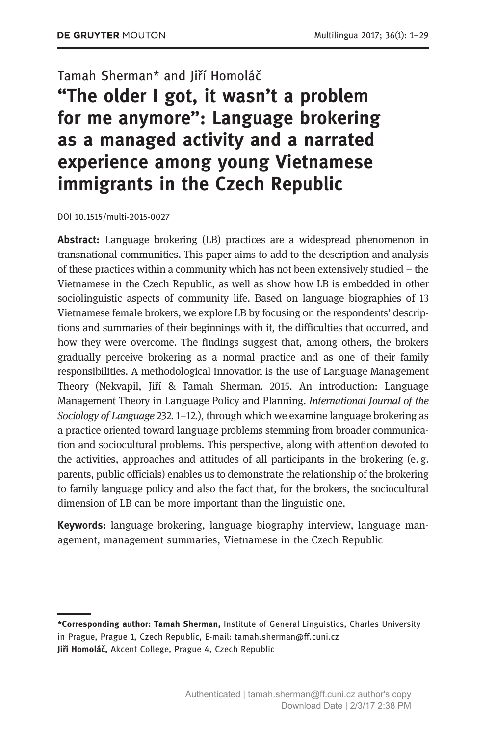## Tamah Sherman\* and Jiří Homoláč

# "The older I got, it wasn't a problem for me anymore": Language brokering as a managed activity and a narrated experience among young Vietnamese immigrants in the Czech Republic

DOI 10.1515/multi-2015-0027

Abstract: Language brokering (LB) practices are a widespread phenomenon in transnational communities. This paper aims to add to the description and analysis of these practices within a community which has not been extensively studied – the Vietnamese in the Czech Republic, as well as show how LB is embedded in other sociolinguistic aspects of community life. Based on language biographies of 13 Vietnamese female brokers, we explore LB by focusing on the respondents' descriptions and summaries of their beginnings with it, the difficulties that occurred, and how they were overcome. The findings suggest that, among others, the brokers gradually perceive brokering as a normal practice and as one of their family responsibilities. A methodological innovation is the use of Language Management Theory (Nekvapil, Jiří & Tamah Sherman. 2015. An introduction: Language Management Theory in Language Policy and Planning. International Journal of the Sociology of Language 232, 1–12.), through which we examine language brokering as a practice oriented toward language problems stemming from broader communication and sociocultural problems. This perspective, along with attention devoted to the activities, approaches and attitudes of all participants in the brokering (e. g. parents, public officials) enables us to demonstrate the relationship of the brokering to family language policy and also the fact that, for the brokers, the sociocultural dimension of LB can be more important than the linguistic one.

Keywords: language brokering, language biography interview, language management, management summaries, Vietnamese in the Czech Republic

<sup>\*</sup>Corresponding author: Tamah Sherman, Institute of General Linguistics, Charles University in Prague, Prague 1, Czech Republic, E-mail: tamah.sherman@ff.cuni.cz Jiří Homoláč, Akcent College, Prague 4, Czech Republic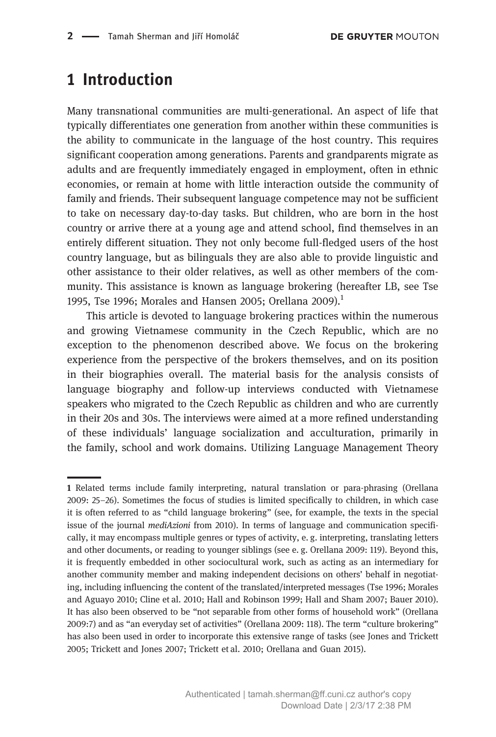# 1 Introduction

Many transnational communities are multi-generational. An aspect of life that typically differentiates one generation from another within these communities is the ability to communicate in the language of the host country. This requires significant cooperation among generations. Parents and grandparents migrate as adults and are frequently immediately engaged in employment, often in ethnic economies, or remain at home with little interaction outside the community of family and friends. Their subsequent language competence may not be sufficient to take on necessary day-to-day tasks. But children, who are born in the host country or arrive there at a young age and attend school, find themselves in an entirely different situation. They not only become full-fledged users of the host country language, but as bilinguals they are also able to provide linguistic and other assistance to their older relatives, as well as other members of the community. This assistance is known as language brokering (hereafter LB, see Tse 1995, Tse 1996; Morales and Hansen 2005; Orellana 2009).<sup>1</sup>

This article is devoted to language brokering practices within the numerous and growing Vietnamese community in the Czech Republic, which are no exception to the phenomenon described above. We focus on the brokering experience from the perspective of the brokers themselves, and on its position in their biographies overall. The material basis for the analysis consists of language biography and follow-up interviews conducted with Vietnamese speakers who migrated to the Czech Republic as children and who are currently in their 20s and 30s. The interviews were aimed at a more refined understanding of these individuals' language socialization and acculturation, primarily in the family, school and work domains. Utilizing Language Management Theory

<sup>1</sup> Related terms include family interpreting, natural translation or para-phrasing (Orellana 2009: 25–26). Sometimes the focus of studies is limited specifically to children, in which case it is often referred to as "child language brokering" (see, for example, the texts in the special issue of the journal mediAzioni from 2010). In terms of language and communication specifically, it may encompass multiple genres or types of activity, e. g. interpreting, translating letters and other documents, or reading to younger siblings (see e. g. Orellana 2009: 119). Beyond this, it is frequently embedded in other sociocultural work, such as acting as an intermediary for another community member and making independent decisions on others' behalf in negotiating, including influencing the content of the translated/interpreted messages (Tse 1996; Morales and Aguayo 2010; Cline et al. 2010; Hall and Robinson 1999; Hall and Sham 2007; Bauer 2010). It has also been observed to be "not separable from other forms of household work" (Orellana 2009:7) and as "an everyday set of activities" (Orellana 2009: 118). The term "culture brokering" has also been used in order to incorporate this extensive range of tasks (see Jones and Trickett 2005; Trickett and Jones 2007; Trickett et al. 2010; Orellana and Guan 2015).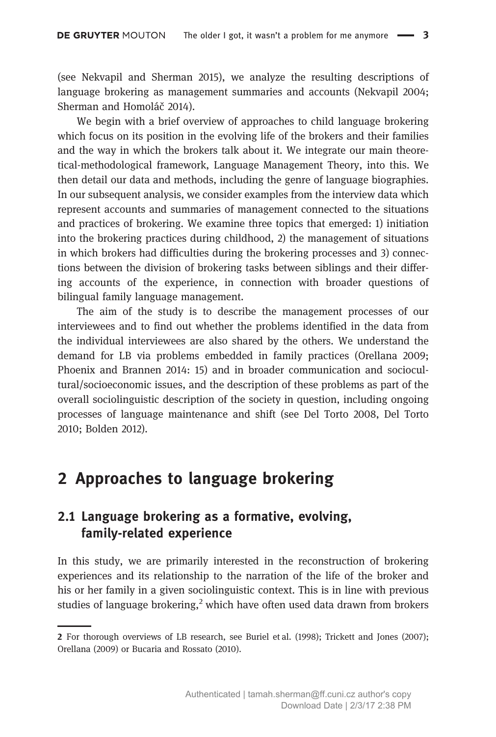(see Nekvapil and Sherman 2015), we analyze the resulting descriptions of language brokering as management summaries and accounts (Nekvapil 2004; Sherman and Homoláč 2014).

We begin with a brief overview of approaches to child language brokering which focus on its position in the evolving life of the brokers and their families and the way in which the brokers talk about it. We integrate our main theoretical-methodological framework, Language Management Theory, into this. We then detail our data and methods, including the genre of language biographies. In our subsequent analysis, we consider examples from the interview data which represent accounts and summaries of management connected to the situations and practices of brokering. We examine three topics that emerged: 1) initiation into the brokering practices during childhood, 2) the management of situations in which brokers had difficulties during the brokering processes and 3) connections between the division of brokering tasks between siblings and their differing accounts of the experience, in connection with broader questions of bilingual family language management.

The aim of the study is to describe the management processes of our interviewees and to find out whether the problems identified in the data from the individual interviewees are also shared by the others. We understand the demand for LB via problems embedded in family practices (Orellana 2009; Phoenix and Brannen 2014: 15) and in broader communication and sociocultural/socioeconomic issues, and the description of these problems as part of the overall sociolinguistic description of the society in question, including ongoing processes of language maintenance and shift (see Del Torto 2008, Del Torto 2010; Bolden 2012).

## 2 Approaches to language brokering

## 2.1 Language brokering as a formative, evolving, family-related experience

In this study, we are primarily interested in the reconstruction of brokering experiences and its relationship to the narration of the life of the broker and his or her family in a given sociolinguistic context. This is in line with previous studies of language brokering,<sup>2</sup> which have often used data drawn from brokers

<sup>2</sup> For thorough overviews of LB research, see Buriel et al. (1998); Trickett and Jones (2007); Orellana (2009) or Bucaria and Rossato (2010).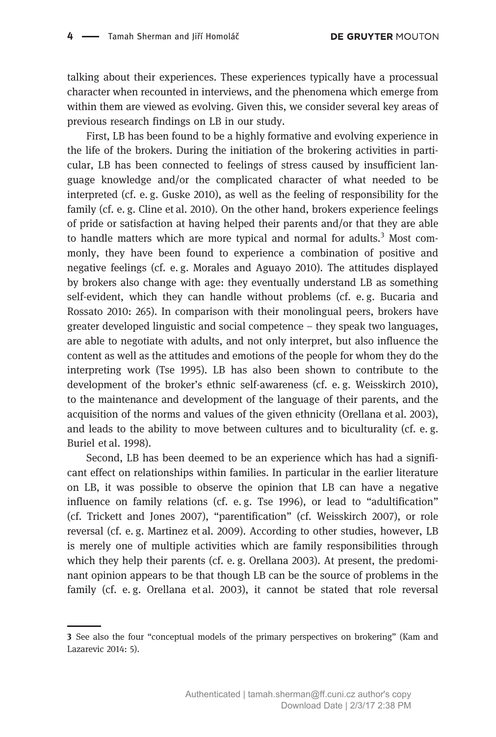talking about their experiences. These experiences typically have a processual character when recounted in interviews, and the phenomena which emerge from within them are viewed as evolving. Given this, we consider several key areas of previous research findings on LB in our study.

First, LB has been found to be a highly formative and evolving experience in the life of the brokers. During the initiation of the brokering activities in particular, LB has been connected to feelings of stress caused by insufficient language knowledge and/or the complicated character of what needed to be interpreted (cf. e. g. Guske 2010), as well as the feeling of responsibility for the family (cf. e. g. Cline et al. 2010). On the other hand, brokers experience feelings of pride or satisfaction at having helped their parents and/or that they are able to handle matters which are more typical and normal for adults. $3$  Most commonly, they have been found to experience a combination of positive and negative feelings (cf. e. g. Morales and Aguayo 2010). The attitudes displayed by brokers also change with age: they eventually understand LB as something self-evident, which they can handle without problems (cf. e. g. Bucaria and Rossato 2010: 265). In comparison with their monolingual peers, brokers have greater developed linguistic and social competence – they speak two languages, are able to negotiate with adults, and not only interpret, but also influence the content as well as the attitudes and emotions of the people for whom they do the interpreting work (Tse 1995). LB has also been shown to contribute to the development of the broker's ethnic self-awareness (cf. e. g. Weisskirch 2010), to the maintenance and development of the language of their parents, and the acquisition of the norms and values of the given ethnicity (Orellana et al. 2003), and leads to the ability to move between cultures and to biculturality (cf. e. g. Buriel et al. 1998).

Second, LB has been deemed to be an experience which has had a significant effect on relationships within families. In particular in the earlier literature on LB, it was possible to observe the opinion that LB can have a negative influence on family relations (cf. e.g. Tse  $1996$ ), or lead to "adultification" (cf. Trickett and Jones 2007), "parentification" (cf. Weisskirch 2007), or role reversal (cf. e. g. Martinez et al. 2009). According to other studies, however, LB is merely one of multiple activities which are family responsibilities through which they help their parents (cf. e. g. Orellana 2003). At present, the predominant opinion appears to be that though LB can be the source of problems in the family (cf. e. g. Orellana et al. 2003), it cannot be stated that role reversal

<sup>3</sup> See also the four "conceptual models of the primary perspectives on brokering" (Kam and Lazarevic 2014: 5).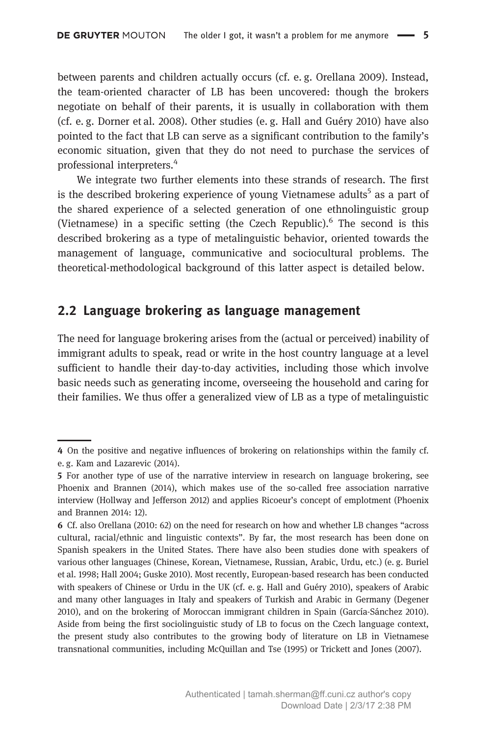between parents and children actually occurs (cf. e. g. Orellana 2009). Instead, the team-oriented character of LB has been uncovered: though the brokers negotiate on behalf of their parents, it is usually in collaboration with them (cf. e. g. Dorner et al. 2008). Other studies (e. g. Hall and Guéry 2010) have also pointed to the fact that LB can serve as a significant contribution to the family's economic situation, given that they do not need to purchase the services of professional interpreters.<sup>4</sup>

We integrate two further elements into these strands of research. The first is the described brokering experience of young Vietnamese adults<sup>5</sup> as a part of the shared experience of a selected generation of one ethnolinguistic group (Vietnamese) in a specific setting (the Czech Republic). $<sup>6</sup>$  The second is this</sup> described brokering as a type of metalinguistic behavior, oriented towards the management of language, communicative and sociocultural problems. The theoretical-methodological background of this latter aspect is detailed below.

## 2.2 Language brokering as language management

The need for language brokering arises from the (actual or perceived) inability of immigrant adults to speak, read or write in the host country language at a level sufficient to handle their day-to-day activities, including those which involve basic needs such as generating income, overseeing the household and caring for their families. We thus offer a generalized view of LB as a type of metalinguistic

<sup>4</sup> On the positive and negative influences of brokering on relationships within the family cf. e. g. Kam and Lazarevic (2014).

<sup>5</sup> For another type of use of the narrative interview in research on language brokering, see Phoenix and Brannen (2014), which makes use of the so-called free association narrative interview (Hollway and Jefferson 2012) and applies Ricoeur's concept of emplotment (Phoenix and Brannen 2014: 12).

<sup>6</sup> Cf. also Orellana (2010: 62) on the need for research on how and whether LB changes "across cultural, racial/ethnic and linguistic contexts". By far, the most research has been done on Spanish speakers in the United States. There have also been studies done with speakers of various other languages (Chinese, Korean, Vietnamese, Russian, Arabic, Urdu, etc.) (e. g. Buriel et al. 1998; Hall 2004; Guske 2010). Most recently, European-based research has been conducted with speakers of Chinese or Urdu in the UK (cf. e. g. Hall and Guéry 2010), speakers of Arabic and many other languages in Italy and speakers of Turkish and Arabic in Germany (Degener 2010), and on the brokering of Moroccan immigrant children in Spain (García-Sánchez 2010). Aside from being the first sociolinguistic study of LB to focus on the Czech language context, the present study also contributes to the growing body of literature on LB in Vietnamese transnational communities, including McQuillan and Tse (1995) or Trickett and Jones (2007).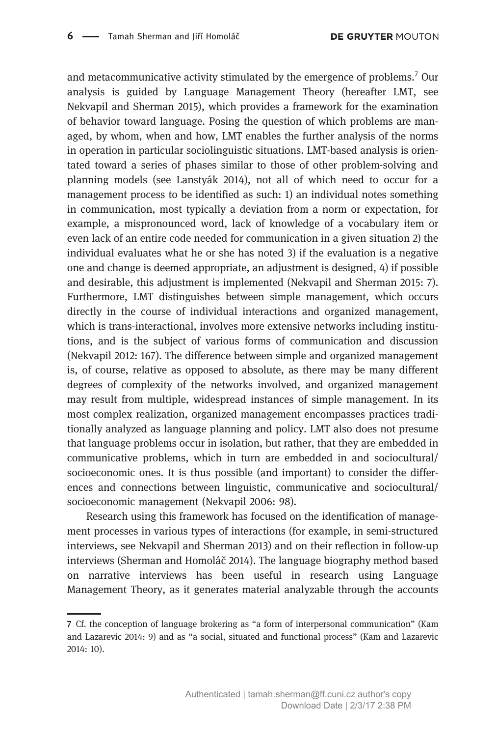and metacommunicative activity stimulated by the emergence of problems.<sup>7</sup> Our analysis is guided by Language Management Theory (hereafter LMT, see Nekvapil and Sherman 2015), which provides a framework for the examination of behavior toward language. Posing the question of which problems are managed, by whom, when and how, LMT enables the further analysis of the norms in operation in particular sociolinguistic situations. LMT-based analysis is orientated toward a series of phases similar to those of other problem-solving and planning models (see Lanstyák 2014), not all of which need to occur for a management process to be identified as such: 1) an individual notes something in communication, most typically a deviation from a norm or expectation, for example, a mispronounced word, lack of knowledge of a vocabulary item or even lack of an entire code needed for communication in a given situation 2) the individual evaluates what he or she has noted 3) if the evaluation is a negative one and change is deemed appropriate, an adjustment is designed, 4) if possible and desirable, this adjustment is implemented (Nekvapil and Sherman 2015: 7). Furthermore, LMT distinguishes between simple management, which occurs directly in the course of individual interactions and organized management, which is trans-interactional, involves more extensive networks including institutions, and is the subject of various forms of communication and discussion (Nekvapil 2012: 167). The difference between simple and organized management is, of course, relative as opposed to absolute, as there may be many different degrees of complexity of the networks involved, and organized management may result from multiple, widespread instances of simple management. In its most complex realization, organized management encompasses practices traditionally analyzed as language planning and policy. LMT also does not presume that language problems occur in isolation, but rather, that they are embedded in communicative problems, which in turn are embedded in and sociocultural/ socioeconomic ones. It is thus possible (and important) to consider the differences and connections between linguistic, communicative and sociocultural/ socioeconomic management (Nekvapil 2006: 98).

Research using this framework has focused on the identification of management processes in various types of interactions (for example, in semi-structured interviews, see Nekvapil and Sherman 2013) and on their reflection in follow-up interviews (Sherman and Homoláč 2014). The language biography method based on narrative interviews has been useful in research using Language Management Theory, as it generates material analyzable through the accounts

<sup>7</sup> Cf. the conception of language brokering as "a form of interpersonal communication" (Kam and Lazarevic 2014: 9) and as "a social, situated and functional process" (Kam and Lazarevic 2014: 10).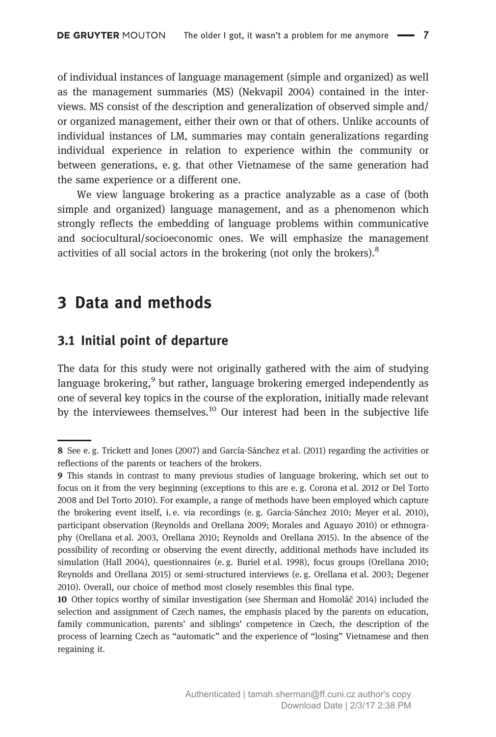of individual instances of language management (simple and organized) as well as the management summaries (MS) (Nekvapil 2004) contained in the interviews. MS consist of the description and generalization of observed simple and/ or organized management, either their own or that of others. Unlike accounts of individual instances of LM, summaries may contain generalizations regarding individual experience in relation to experience within the community or between generations, e. g. that other Vietnamese of the same generation had the same experience or a different one.

We view language brokering as a practice analyzable as a case of (both simple and organized) language management, and as a phenomenon which strongly reflects the embedding of language problems within communicative and sociocultural/socioeconomic ones. We will emphasize the management activities of all social actors in the brokering (not only the brokers).<sup>8</sup>

# 3 Data and methods

## 3.1 Initial point of departure

The data for this study were not originally gathered with the aim of studying language brokering,  $9$  but rather, language brokering emerged independently as one of several key topics in the course of the exploration, initially made relevant by the interviewees themselves.<sup>10</sup> Our interest had been in the subjective life

<sup>8</sup> See e. g. Trickett and Jones (2007) and García-Sánchez et al. (2011) regarding the activities or reflections of the parents or teachers of the brokers.

<sup>9</sup> This stands in contrast to many previous studies of language brokering, which set out to focus on it from the very beginning (exceptions to this are e. g. Corona et al. 2012 or Del Torto 2008 and Del Torto 2010). For example, a range of methods have been employed which capture the brokering event itself, i. e. via recordings (e. g. García-Sánchez 2010; Meyer et al. 2010), participant observation (Reynolds and Orellana 2009; Morales and Aguayo 2010) or ethnography (Orellana et al. 2003, Orellana 2010; Reynolds and Orellana 2015). In the absence of the possibility of recording or observing the event directly, additional methods have included its simulation (Hall 2004), questionnaires (e. g. Buriel et al. 1998), focus groups (Orellana 2010; Reynolds and Orellana 2015) or semi-structured interviews (e. g. Orellana et al. 2003; Degener 2010). Overall, our choice of method most closely resembles this final type.

<sup>10</sup> Other topics worthy of similar investigation (see Sherman and Homoláč 2014) included the selection and assignment of Czech names, the emphasis placed by the parents on education, family communication, parents' and siblings' competence in Czech, the description of the process of learning Czech as "automatic" and the experience of "losing" Vietnamese and then regaining it.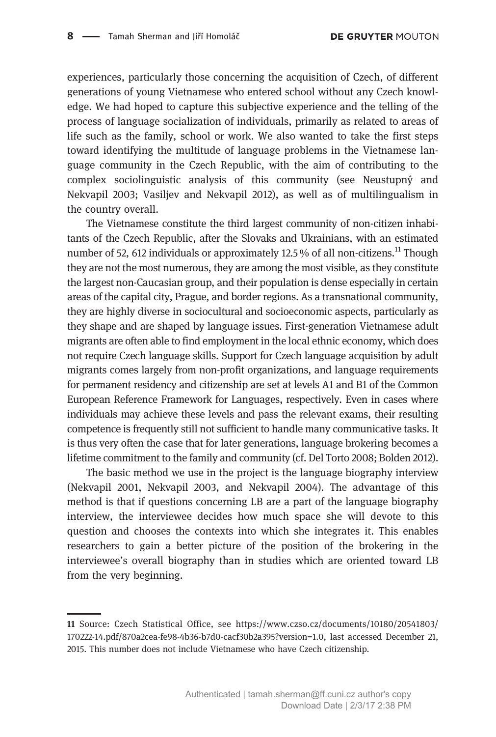experiences, particularly those concerning the acquisition of Czech, of different generations of young Vietnamese who entered school without any Czech knowledge. We had hoped to capture this subjective experience and the telling of the process of language socialization of individuals, primarily as related to areas of life such as the family, school or work. We also wanted to take the first steps toward identifying the multitude of language problems in the Vietnamese language community in the Czech Republic, with the aim of contributing to the complex sociolinguistic analysis of this community (see Neustupný and Nekvapil 2003; Vasiljev and Nekvapil 2012), as well as of multilingualism in the country overall.

The Vietnamese constitute the third largest community of non-citizen inhabitants of the Czech Republic, after the Slovaks and Ukrainians, with an estimated number of 52, 612 individuals or approximately 12.5 % of all non-citizens.<sup>11</sup> Though they are not the most numerous, they are among the most visible, as they constitute the largest non-Caucasian group, and their population is dense especially in certain areas of the capital city, Prague, and border regions. As a transnational community, they are highly diverse in sociocultural and socioeconomic aspects, particularly as they shape and are shaped by language issues. First-generation Vietnamese adult migrants are often able to find employment in the local ethnic economy, which does not require Czech language skills. Support for Czech language acquisition by adult migrants comes largely from non-profit organizations, and language requirements for permanent residency and citizenship are set at levels A1 and B1 of the Common European Reference Framework for Languages, respectively. Even in cases where individuals may achieve these levels and pass the relevant exams, their resulting competence is frequently still not sufficient to handle many communicative tasks. It is thus very often the case that for later generations, language brokering becomes a lifetime commitment to the family and community (cf. Del Torto 2008; Bolden 2012).

The basic method we use in the project is the language biography interview (Nekvapil 2001, Nekvapil 2003, and Nekvapil 2004). The advantage of this method is that if questions concerning LB are a part of the language biography interview, the interviewee decides how much space she will devote to this question and chooses the contexts into which she integrates it. This enables researchers to gain a better picture of the position of the brokering in the interviewee's overall biography than in studies which are oriented toward LB from the very beginning.

<sup>11</sup> Source: Czech Statistical Office, see https://www.czso.cz/documents/10180/20541803/ 170222-14.pdf/870a2cea-fe98-4b36-b7d0-cacf30b2a395?version=1.0, last accessed December 21, 2015. This number does not include Vietnamese who have Czech citizenship.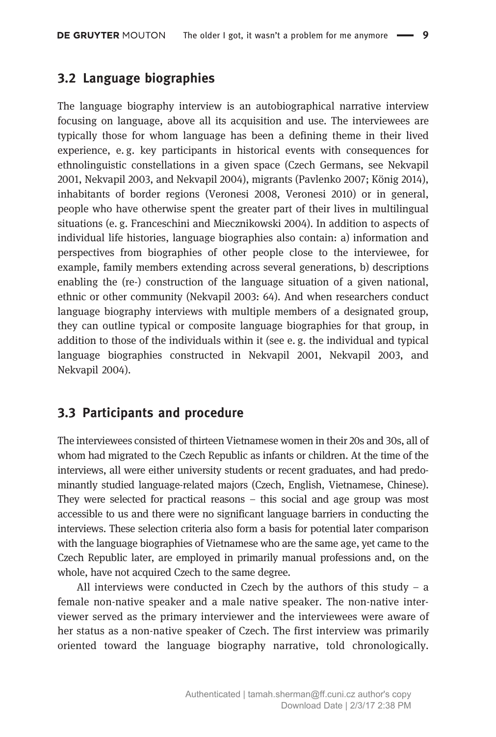## 3.2 Language biographies

The language biography interview is an autobiographical narrative interview focusing on language, above all its acquisition and use. The interviewees are typically those for whom language has been a defining theme in their lived experience, e. g. key participants in historical events with consequences for ethnolinguistic constellations in a given space (Czech Germans, see Nekvapil 2001, Nekvapil 2003, and Nekvapil 2004), migrants (Pavlenko 2007; König 2014), inhabitants of border regions (Veronesi 2008, Veronesi 2010) or in general, people who have otherwise spent the greater part of their lives in multilingual situations (e. g. Franceschini and Miecznikowski 2004). In addition to aspects of individual life histories, language biographies also contain: a) information and perspectives from biographies of other people close to the interviewee, for example, family members extending across several generations, b) descriptions enabling the (re-) construction of the language situation of a given national, ethnic or other community (Nekvapil 2003: 64). And when researchers conduct language biography interviews with multiple members of a designated group, they can outline typical or composite language biographies for that group, in addition to those of the individuals within it (see e. g. the individual and typical language biographies constructed in Nekvapil 2001, Nekvapil 2003, and Nekvapil 2004).

## 3.3 Participants and procedure

The interviewees consisted of thirteen Vietnamese women in their 20s and 30s, all of whom had migrated to the Czech Republic as infants or children. At the time of the interviews, all were either university students or recent graduates, and had predominantly studied language-related majors (Czech, English, Vietnamese, Chinese). They were selected for practical reasons – this social and age group was most accessible to us and there were no significant language barriers in conducting the interviews. These selection criteria also form a basis for potential later comparison with the language biographies of Vietnamese who are the same age, yet came to the Czech Republic later, are employed in primarily manual professions and, on the whole, have not acquired Czech to the same degree.

All interviews were conducted in Czech by the authors of this study  $-$  a female non-native speaker and a male native speaker. The non-native interviewer served as the primary interviewer and the interviewees were aware of her status as a non-native speaker of Czech. The first interview was primarily oriented toward the language biography narrative, told chronologically.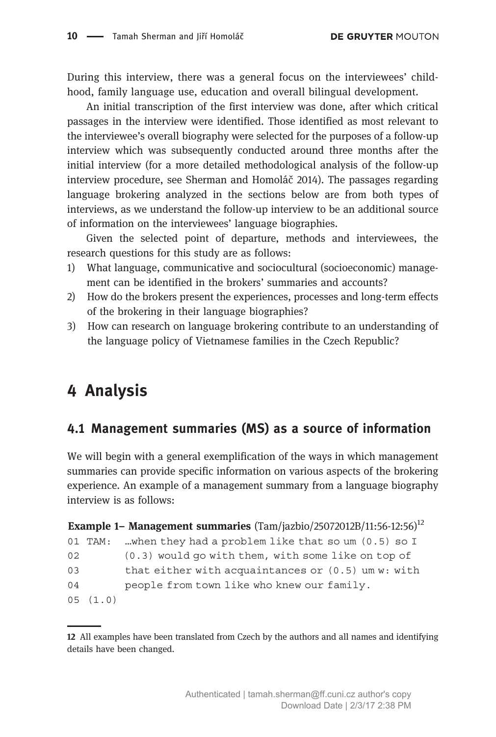During this interview, there was a general focus on the interviewees' childhood, family language use, education and overall bilingual development.

An initial transcription of the first interview was done, after which critical passages in the interview were identified. Those identified as most relevant to the interviewee's overall biography were selected for the purposes of a follow-up interview which was subsequently conducted around three months after the initial interview (for a more detailed methodological analysis of the follow-up interview procedure, see Sherman and Homoláč 2014). The passages regarding language brokering analyzed in the sections below are from both types of interviews, as we understand the follow-up interview to be an additional source of information on the interviewees' language biographies.

Given the selected point of departure, methods and interviewees, the research questions for this study are as follows:

- 1) What language, communicative and sociocultural (socioeconomic) management can be identified in the brokers' summaries and accounts?
- 2) How do the brokers present the experiences, processes and long-term effects of the brokering in their language biographies?
- 3) How can research on language brokering contribute to an understanding of the language policy of Vietnamese families in the Czech Republic?

# 4 Analysis

## 4.1 Management summaries (MS) as a source of information

We will begin with a general exemplification of the ways in which management summaries can provide specific information on various aspects of the brokering experience. An example of a management summary from a language biography interview is as follows:

| Example 1- Management summaries $(Tam/iazbio/25072012B/11:56-12:56)^{12}$ |             |                                                      |
|---------------------------------------------------------------------------|-------------|------------------------------------------------------|
|                                                                           | $01$ $TAM:$ | when they had a problem like that so um (0.5) so I   |
| 02                                                                        |             | $(0.3)$ would go with them, with some like on top of |
| 03                                                                        |             | that either with acquaintances or $(0.5)$ um w: with |
| 04                                                                        |             | people from town like who knew our family.           |
|                                                                           | 05(1.0)     |                                                      |

<sup>12</sup> All examples have been translated from Czech by the authors and all names and identifying details have been changed.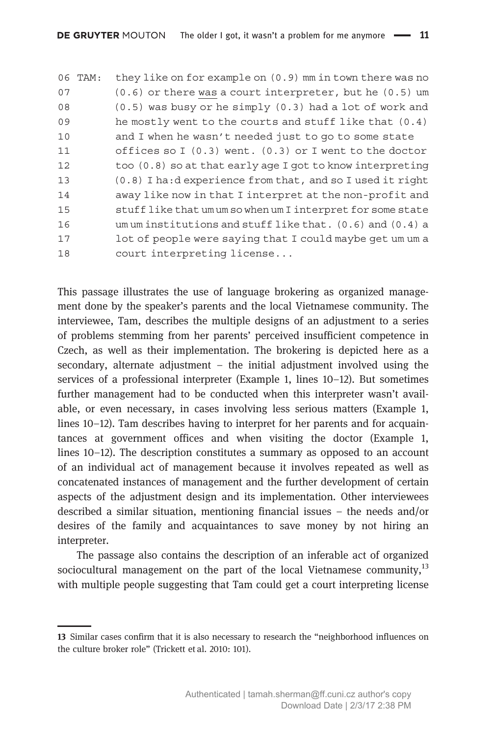06 TAM: they like on for example on (0.9) mm in town there was no 07 (0.6) or there was a court interpreter, but he (0.5) um 08 (0.5) was busy or he simply (0.3) had a lot of work and 09 he mostly went to the courts and stuff like that (0.4) 10 and I when he wasn't needed just to go to some state 11 offices so I (0.3) went. (0.3) or I went to the doctor 12 too (0.8) so at that early age I got to know interpreting 13 (0.8) I ha:d experience from that, and so I used it right 14 away like now in that I interpret at the non-profit and 15 stuff like that um um so when um I interpret for some state 16 um um institutions and stuff like that. (0.6) and (0.4) a 17 lot of people were saying that I could maybe get um um a 18 court interpreting license...

This passage illustrates the use of language brokering as organized management done by the speaker's parents and the local Vietnamese community. The interviewee, Tam, describes the multiple designs of an adjustment to a series of problems stemming from her parents' perceived insufficient competence in Czech, as well as their implementation. The brokering is depicted here as a secondary, alternate adjustment – the initial adjustment involved using the services of a professional interpreter (Example 1, lines 10–12). But sometimes further management had to be conducted when this interpreter wasn't available, or even necessary, in cases involving less serious matters (Example 1, lines 10–12). Tam describes having to interpret for her parents and for acquaintances at government offices and when visiting the doctor (Example 1, lines 10–12). The description constitutes a summary as opposed to an account of an individual act of management because it involves repeated as well as concatenated instances of management and the further development of certain aspects of the adjustment design and its implementation. Other interviewees described a similar situation, mentioning financial issues – the needs and/or desires of the family and acquaintances to save money by not hiring an interpreter.

The passage also contains the description of an inferable act of organized sociocultural management on the part of the local Vietnamese community, $^{13}$ with multiple people suggesting that Tam could get a court interpreting license

<sup>13</sup> Similar cases confirm that it is also necessary to research the "neighborhood influences on the culture broker role" (Trickett et al. 2010: 101).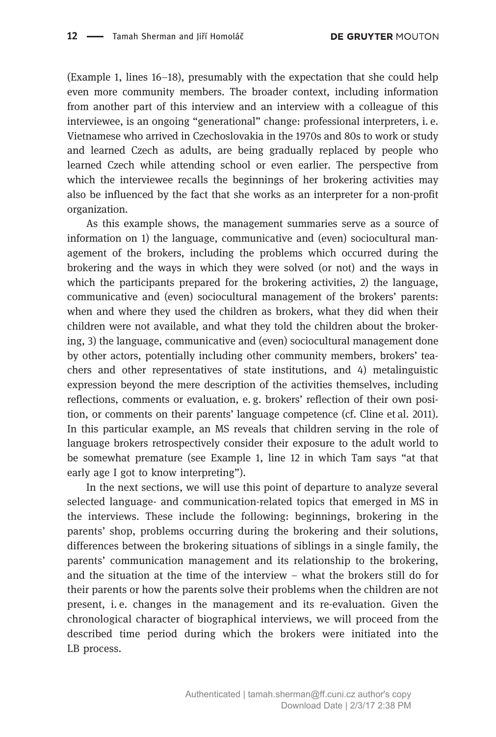(Example 1, lines 16–18), presumably with the expectation that she could help even more community members. The broader context, including information from another part of this interview and an interview with a colleague of this interviewee, is an ongoing "generational" change: professional interpreters, i. e. Vietnamese who arrived in Czechoslovakia in the 1970s and 80s to work or study and learned Czech as adults, are being gradually replaced by people who learned Czech while attending school or even earlier. The perspective from which the interviewee recalls the beginnings of her brokering activities may also be influenced by the fact that she works as an interpreter for a non-profit organization.

As this example shows, the management summaries serve as a source of information on 1) the language, communicative and (even) sociocultural management of the brokers, including the problems which occurred during the brokering and the ways in which they were solved (or not) and the ways in which the participants prepared for the brokering activities, 2) the language, communicative and (even) sociocultural management of the brokers' parents: when and where they used the children as brokers, what they did when their children were not available, and what they told the children about the brokering, 3) the language, communicative and (even) sociocultural management done by other actors, potentially including other community members, brokers' teachers and other representatives of state institutions, and 4) metalinguistic expression beyond the mere description of the activities themselves, including reflections, comments or evaluation, e. g. brokers' reflection of their own position, or comments on their parents' language competence (cf. Cline et al. 2011). In this particular example, an MS reveals that children serving in the role of language brokers retrospectively consider their exposure to the adult world to be somewhat premature (see Example 1, line 12 in which Tam says "at that early age I got to know interpreting").

In the next sections, we will use this point of departure to analyze several selected language- and communication-related topics that emerged in MS in the interviews. These include the following: beginnings, brokering in the parents' shop, problems occurring during the brokering and their solutions, differences between the brokering situations of siblings in a single family, the parents' communication management and its relationship to the brokering, and the situation at the time of the interview – what the brokers still do for their parents or how the parents solve their problems when the children are not present, i. e. changes in the management and its re-evaluation. Given the chronological character of biographical interviews, we will proceed from the described time period during which the brokers were initiated into the LB process.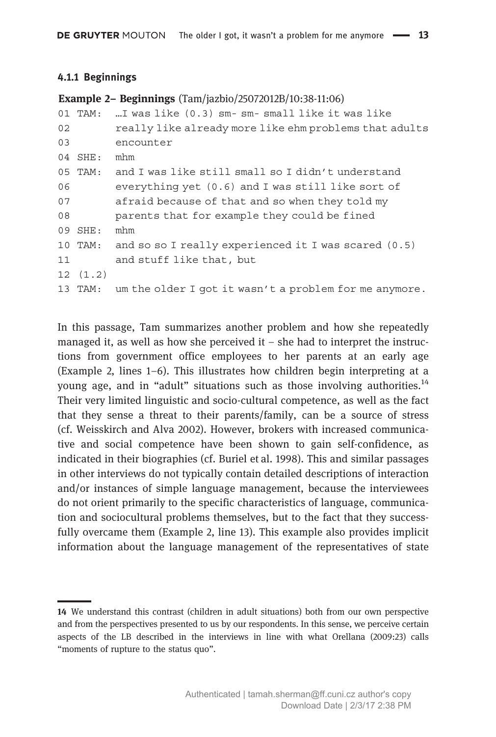#### 4.1.1 Beginnings

|    | <b>Example 2– Beginnings</b> (Tam/jazbio/25072012B/10:38-11:06) |                                                        |  |
|----|-----------------------------------------------------------------|--------------------------------------------------------|--|
|    | 01 TAM:                                                         | I was like (0.3) sm- sm- small like it was like        |  |
| 02 |                                                                 | really like already more like ehm problems that adults |  |
| 03 |                                                                 | encounter                                              |  |
|    | 04 SHE:                                                         | mhm                                                    |  |
|    | $05$ TAM:                                                       | and I was like still small so I didn't understand      |  |
| 06 |                                                                 | everything yet (0.6) and I was still like sort of      |  |
| 07 |                                                                 | afraid because of that and so when they told my        |  |
| 08 |                                                                 | parents that for example they could be fined           |  |
|    | 09 SHE:                                                         | mhm                                                    |  |
|    | 10 TAM:                                                         | and so so I really experienced it I was scared (0.5)   |  |
| 11 |                                                                 | and stuff like that, but                               |  |
|    | 12(1.2)                                                         |                                                        |  |
|    | 13 TAM:                                                         | um the older I got it wasn't a problem for me anymore. |  |
|    |                                                                 |                                                        |  |

In this passage, Tam summarizes another problem and how she repeatedly managed it, as well as how she perceived it  $-$  she had to interpret the instructions from government office employees to her parents at an early age (Example 2, lines 1–6). This illustrates how children begin interpreting at a young age, and in "adult" situations such as those involving authorities.<sup>14</sup> Their very limited linguistic and socio-cultural competence, as well as the fact that they sense a threat to their parents/family, can be a source of stress (cf. Weisskirch and Alva 2002). However, brokers with increased communicative and social competence have been shown to gain self-confidence, as indicated in their biographies (cf. Buriel et al. 1998). This and similar passages in other interviews do not typically contain detailed descriptions of interaction and/or instances of simple language management, because the interviewees do not orient primarily to the specific characteristics of language, communication and sociocultural problems themselves, but to the fact that they successfully overcame them (Example 2, line 13). This example also provides implicit information about the language management of the representatives of state

<sup>14</sup> We understand this contrast (children in adult situations) both from our own perspective and from the perspectives presented to us by our respondents. In this sense, we perceive certain aspects of the LB described in the interviews in line with what Orellana (2009:23) calls "moments of rupture to the status quo".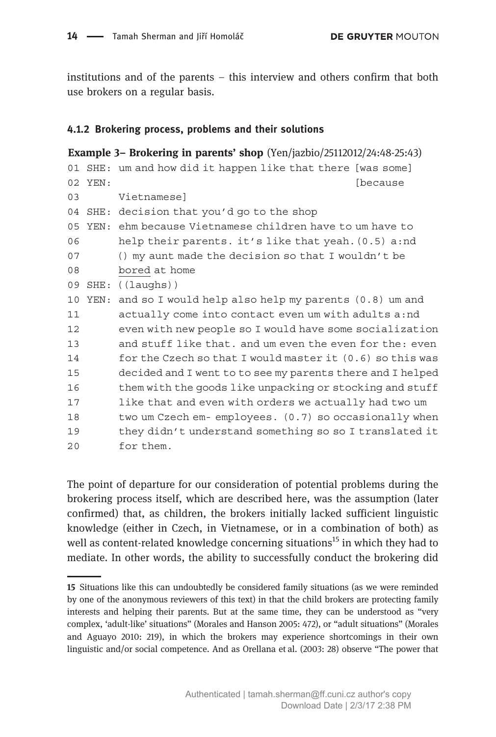institutions and of the parents – this interview and others confirm that both use brokers on a regular basis.

#### 4.1.2 Brokering process, problems and their solutions

```
Example 3– Brokering in parents' shop (Yen/jazbio/25112012/24:48-25:43)
01 SHE: um and how did it happen like that there [was some]
02 YEN: Same School and the Cause of the Cause of the Cause of the Cause of the Cause of the Cause of the Cause
03 Vietnamese]
04 SHE: decision that you'd go to the shop
05 YEN: ehm because Vietnamese children have to um have to
06 help their parents. it's like that yeah.(0.5) a:nd
07 () my aunt made the decision so that I wouldn't be
08 bored at home
09 SHE: ((laughs))
10 YEN: and so I would help also help my parents (0.8) um and
11 actually come into contact even um with adults a:nd
12 even with new people so I would have some socialization
13 and stuff like that. and um even the even for the: even
14 for the Czech so that I would master it (0.6) so this was
15 decided and I went to to see my parents there and I helped
16 them with the goods like unpacking or stocking and stuff
17 like that and even with orders we actually had two um
18 two um Czech em- employees. (0.7) so occasionally when
19 they didn't understand something so so I translated it
20 for them.
```
The point of departure for our consideration of potential problems during the brokering process itself, which are described here, was the assumption (later confirmed) that, as children, the brokers initially lacked sufficient linguistic knowledge (either in Czech, in Vietnamese, or in a combination of both) as well as content-related knowledge concerning situations<sup>15</sup> in which they had to mediate. In other words, the ability to successfully conduct the brokering did

<sup>15</sup> Situations like this can undoubtedly be considered family situations (as we were reminded by one of the anonymous reviewers of this text) in that the child brokers are protecting family interests and helping their parents. But at the same time, they can be understood as "very complex, 'adult-like' situations" (Morales and Hanson 2005: 472), or "adult situations" (Morales and Aguayo 2010: 219), in which the brokers may experience shortcomings in their own linguistic and/or social competence. And as Orellana et al. (2003: 28) observe "The power that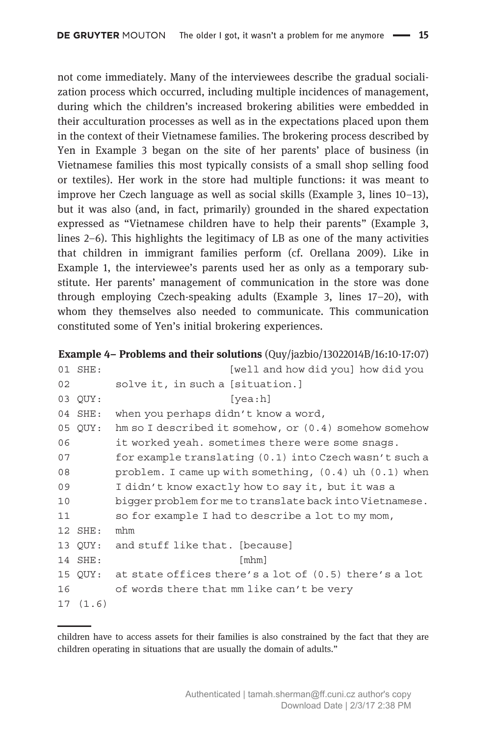not come immediately. Many of the interviewees describe the gradual socialization process which occurred, including multiple incidences of management, during which the children's increased brokering abilities were embedded in their acculturation processes as well as in the expectations placed upon them in the context of their Vietnamese families. The brokering process described by Yen in Example 3 began on the site of her parents' place of business (in Vietnamese families this most typically consists of a small shop selling food or textiles). Her work in the store had multiple functions: it was meant to improve her Czech language as well as social skills (Example 3, lines 10–13), but it was also (and, in fact, primarily) grounded in the shared expectation expressed as "Vietnamese children have to help their parents" (Example 3, lines 2–6). This highlights the legitimacy of LB as one of the many activities that children in immigrant families perform (cf. Orellana 2009). Like in Example 1, the interviewee's parents used her as only as a temporary substitute. Her parents' management of communication in the store was done through employing Czech-speaking adults (Example 3, lines 17–20), with whom they themselves also needed to communicate. This communication constituted some of Yen's initial brokering experiences.

Example 4– Problems and their solutions (Quy/jazbio/13022014B/16:10-17:07)

|    | 01 SHE:   | [well and how did you] how did you                         |
|----|-----------|------------------------------------------------------------|
| 02 |           | solve it, in such a [situation.]                           |
|    | 03 OUY:   | [vea:h]                                                    |
|    | 04 SHE:   | when you perhaps didn't know a word,                       |
|    | 05 OUY:   | hm so I described it somehow, or $(0.4)$ somehow somehow   |
| 06 |           | it worked yeah. sometimes there were some snags.           |
| 07 |           | for example translating (0.1) into Czech wasn't such a     |
| 08 |           | problem. I came up with something, $(0.4)$ uh $(0.1)$ when |
| 09 |           | I didn't know exactly how to say it, but it was a          |
| 10 |           | bigger problem forme to translate back into Vietnamese.    |
| 11 |           | so for example I had to describe a lot to my mom,          |
|    | $12$ SHE: | mhm                                                        |
|    | 13 OUY:   | and stuff like that. [because]                             |
|    | 14 SHE:   | $\lceil m \ln n \rceil$                                    |
|    | 15 OUY:   | at state offices there's a lot of $(0.5)$ there's a lot    |
| 16 |           | of words there that mm like can't be very                  |
|    | 17(1.6)   |                                                            |

children have to access assets for their families is also constrained by the fact that they are children operating in situations that are usually the domain of adults."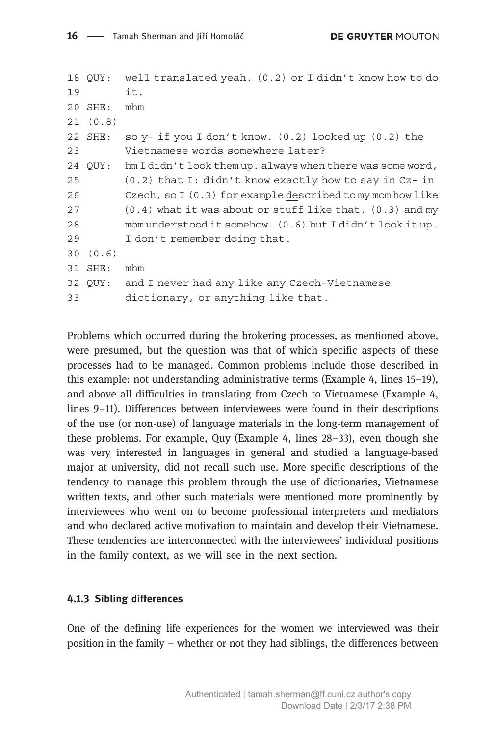```
18 QUY: well translated yeah. (0.2) or I didn't know how to do
19 it.
20 SHE: mhm
21 (0.8)
22 SHE: so y- if you I don't know. (0.2) looked up (0.2) the
23 Vietnamese words somewhere later?
24 QUY: hm I didn't look them up. always when there was some word,
25 (0.2) that I: didn't know exactly how to say in Cz- in
26 Czech, so I (0.3) for example described to my mom how like
27 (0.4) what it was about or stuff like that. (0.3) and my
28 mom understood it somehow. (0.6) but I didn't look it up.
29 I don't remember doing that.
30 (0.6)
31 SHE: mhm
32 QUY: and I never had any like any Czech-Vietnamese
33 dictionary, or anything like that.
```
Problems which occurred during the brokering processes, as mentioned above, were presumed, but the question was that of which specific aspects of these processes had to be managed. Common problems include those described in this example: not understanding administrative terms (Example 4, lines 15–19), and above all difficulties in translating from Czech to Vietnamese (Example 4, lines 9–11). Differences between interviewees were found in their descriptions of the use (or non-use) of language materials in the long-term management of these problems. For example, Quy (Example 4, lines 28–33), even though she was very interested in languages in general and studied a language-based major at university, did not recall such use. More specific descriptions of the tendency to manage this problem through the use of dictionaries, Vietnamese written texts, and other such materials were mentioned more prominently by interviewees who went on to become professional interpreters and mediators and who declared active motivation to maintain and develop their Vietnamese. These tendencies are interconnected with the interviewees' individual positions in the family context, as we will see in the next section.

#### 4.1.3 Sibling differences

One of the defining life experiences for the women we interviewed was their position in the family – whether or not they had siblings, the differences between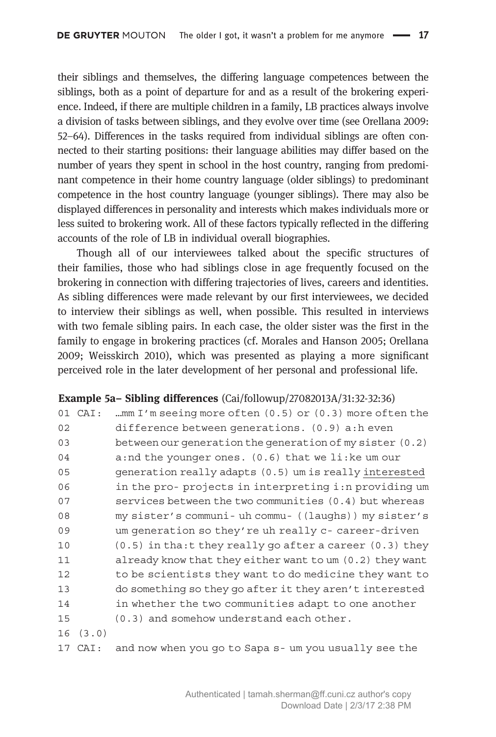their siblings and themselves, the differing language competences between the siblings, both as a point of departure for and as a result of the brokering experience. Indeed, if there are multiple children in a family, LB practices always involve a division of tasks between siblings, and they evolve over time (see Orellana 2009: 52–64). Differences in the tasks required from individual siblings are often connected to their starting positions: their language abilities may differ based on the number of years they spent in school in the host country, ranging from predominant competence in their home country language (older siblings) to predominant competence in the host country language (younger siblings). There may also be displayed differences in personality and interests which makes individuals more or less suited to brokering work. All of these factors typically reflected in the differing accounts of the role of LB in individual overall biographies.

Though all of our interviewees talked about the specific structures of their families, those who had siblings close in age frequently focused on the brokering in connection with differing trajectories of lives, careers and identities. As sibling differences were made relevant by our first interviewees, we decided to interview their siblings as well, when possible. This resulted in interviews with two female sibling pairs. In each case, the older sister was the first in the family to engage in brokering practices (cf. Morales and Hanson 2005; Orellana 2009; Weisskirch 2010), which was presented as playing a more significant perceived role in the later development of her personal and professional life.

#### Example 5a– Sibling differences (Cai/followup/27082013A/31:32-32:36)

|    | 01 CAI: | mm I'm seeing more often (0.5) or (0.3) more often the       |
|----|---------|--------------------------------------------------------------|
| 02 |         | difference between generations. (0.9) a:h even               |
| 03 |         | between our generation the generation of my sister $(0.2)$   |
| 04 |         | a: nd the younger ones. $(0.6)$ that we li: ke um our        |
| 05 |         | generation really adapts (0.5) um is really interested       |
| 06 |         | in the pro-projects in interpreting i:n providing um         |
| 07 |         | services between the two communities (0.4) but whereas       |
| 08 |         | my sister's communi- uh commu- ((laughs)) my sister's        |
| 09 |         | um generation so they're uh really c- career-driven          |
| 10 |         | $(0.5)$ in tha: t they really go after a career $(0.3)$ they |
| 11 |         | already know that they either want to um (0.2) they want     |
| 12 |         | to be scientists they want to do medicine they want to       |
| 13 |         | do something so they go after it they aren't interested      |
| 14 |         | in whether the two communities adapt to one another          |
| 15 |         | (0.3) and somehow understand each other.                     |
| 16 | (3.0)   |                                                              |
|    | 17.77.  | and now when you go to fana guim you ugually goo the         |

17 CAI: and now when you go to Sapa s- um you usually see the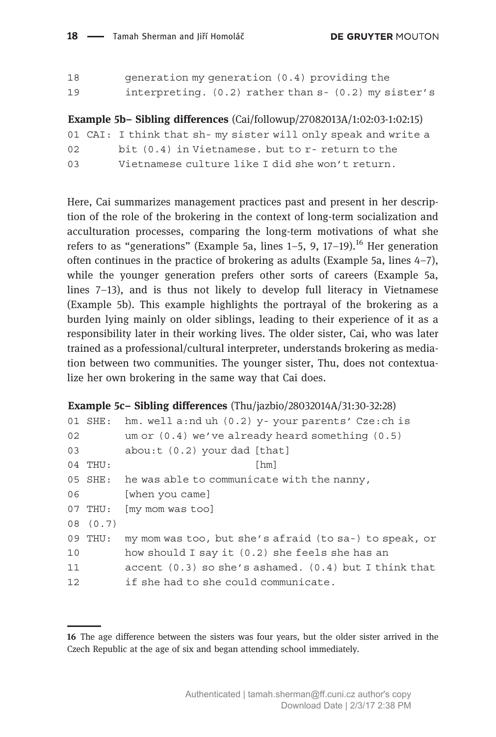**DE GRUYTER MOUTON** 

| 18 | generation my generation (0.4) providing the              |  |
|----|-----------------------------------------------------------|--|
| 19 | interpreting. $(0.2)$ rather than $s - (0.2)$ my sister's |  |

Example 5b– Sibling differences (Cai/followup/27082013A/1:02:03-1:02:15)

01 CAI: I think that sh- my sister will only speak and write a

| bit (0.4) in Vietnamese, but to r- return to the<br>02 |  |
|--------------------------------------------------------|--|
|--------------------------------------------------------|--|

```
03 Vietnamese culture like I did she won't return.
```
Here, Cai summarizes management practices past and present in her description of the role of the brokering in the context of long-term socialization and acculturation processes, comparing the long-term motivations of what she refers to as "generations" (Example 5a, lines  $1-5$ , 9,  $17-19$ ).<sup>16</sup> Her generation often continues in the practice of brokering as adults (Example 5a, lines 4–7), while the younger generation prefers other sorts of careers (Example 5a, lines 7–13), and is thus not likely to develop full literacy in Vietnamese (Example 5b). This example highlights the portrayal of the brokering as a burden lying mainly on older siblings, leading to their experience of it as a responsibility later in their working lives. The older sister, Cai, who was later trained as a professional/cultural interpreter, understands brokering as mediation between two communities. The younger sister, Thu, does not contextualize her own brokering in the same way that Cai does.

#### Example 5c– Sibling differences (Thu/jazbio/28032014A/31:30-32:28)

|    | hm. well a:nd uh (0.2) y- your parents' Cze:ch is         |
|----|-----------------------------------------------------------|
|    | um or $(0.4)$ we've already heard something $(0.5)$       |
|    | about: (0.2) your dad [that]                              |
|    | [hm]                                                      |
|    | 05 SHE: he was able to communicate with the nanny,        |
|    | [when you came]                                           |
|    | [my mom was too]                                          |
|    |                                                           |
|    | my mom was too, but she's afraid (to sa-) to speak, or    |
|    | how should I say it (0.2) she feels she has an            |
|    | accent $(0.3)$ so she's ashamed. $(0.4)$ but I think that |
|    | if she had to she could communicate.                      |
| 06 | 01 SHE:<br>04 THU:<br>07 THU:<br>08 (0.7)<br>09 THU:      |

<sup>16</sup> The age difference between the sisters was four years, but the older sister arrived in the Czech Republic at the age of six and began attending school immediately.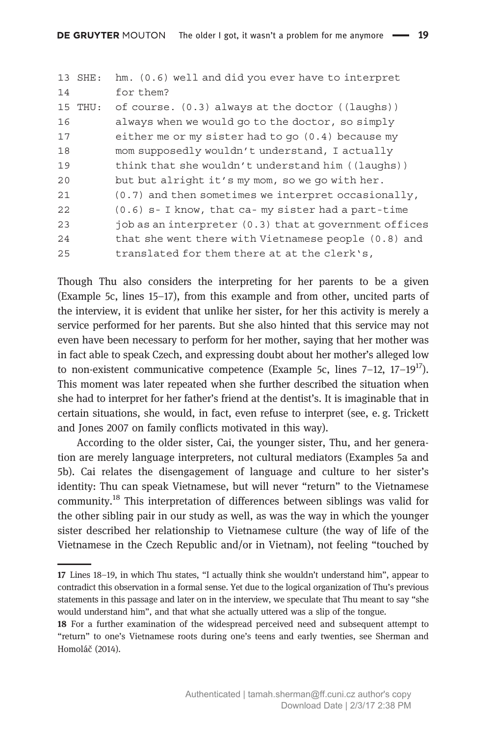|    | 13 SHE: | hm. (0.6) well and did you ever have to interpret          |
|----|---------|------------------------------------------------------------|
| 14 |         | for them?                                                  |
|    | 15 THU: | of course. $(0.3)$ always at the doctor $($ (laughs))      |
| 16 |         | always when we would go to the doctor, so simply           |
| 17 |         | either me or my sister had to go $(0.4)$ because my        |
| 18 |         | mom supposedly wouldn't understand, I actually             |
| 19 |         | think that she wouldn't understand him $((1\text{aughs}))$ |
| 20 |         | but but alright it's my mom, so we go with her.            |
| 21 |         | (0.7) and then sometimes we interpret occasionally,        |
| 22 |         | (0.6) s- I know, that ca-my sister had a part-time         |
| 23 |         | job as an interpreter $(0.3)$ that at government offices   |
| 24 |         | that she went there with Vietnamese people $(0.8)$ and     |
| 25 |         | translated for them there at at the clerk's,               |
|    |         |                                                            |

Though Thu also considers the interpreting for her parents to be a given (Example 5c, lines 15–17), from this example and from other, uncited parts of the interview, it is evident that unlike her sister, for her this activity is merely a service performed for her parents. But she also hinted that this service may not even have been necessary to perform for her mother, saying that her mother was in fact able to speak Czech, and expressing doubt about her mother's alleged low to non-existent communicative competence (Example 5c, lines  $7-12$ ,  $17-19^{17}$ ). This moment was later repeated when she further described the situation when she had to interpret for her father's friend at the dentist's. It is imaginable that in certain situations, she would, in fact, even refuse to interpret (see, e. g. Trickett and Jones 2007 on family conflicts motivated in this way).

According to the older sister, Cai, the younger sister, Thu, and her generation are merely language interpreters, not cultural mediators (Examples 5a and 5b). Cai relates the disengagement of language and culture to her sister's identity: Thu can speak Vietnamese, but will never "return" to the Vietnamese community.<sup>18</sup> This interpretation of differences between siblings was valid for the other sibling pair in our study as well, as was the way in which the younger sister described her relationship to Vietnamese culture (the way of life of the Vietnamese in the Czech Republic and/or in Vietnam), not feeling "touched by

<sup>17</sup> Lines 18–19, in which Thu states, "I actually think she wouldn't understand him", appear to contradict this observation in a formal sense. Yet due to the logical organization of Thu's previous statements in this passage and later on in the interview, we speculate that Thu meant to say "she would understand him", and that what she actually uttered was a slip of the tongue.

<sup>18</sup> For a further examination of the widespread perceived need and subsequent attempt to "return" to one's Vietnamese roots during one's teens and early twenties, see Sherman and Homoláč (2014).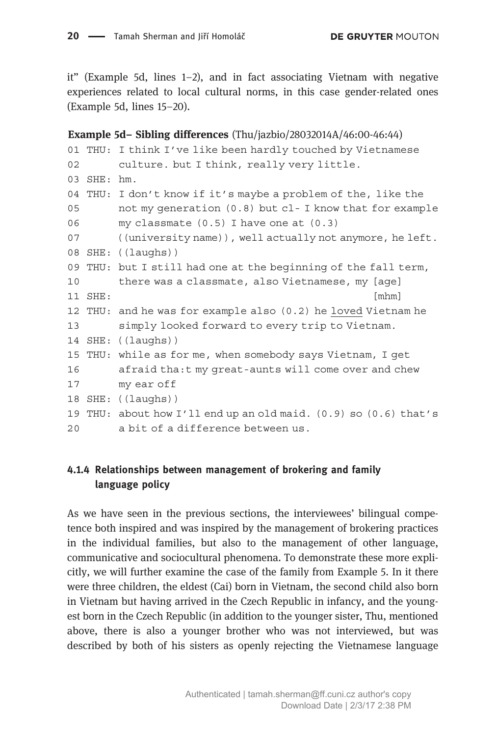it" (Example 5d, lines 1–2), and in fact associating Vietnam with negative experiences related to local cultural norms, in this case gender-related ones (Example 5d, lines 15–20).

```
Example 5d– Sibling differences (Thu/jazbio/28032014A/46:00-46:44)
01 THU: I think I've like been hardly touched by Vietnamese
02 culture. but I think, really very little.
03 SHE: hm.
04 THU: I don't know if it's maybe a problem of the, like the
05 not my generation (0.8) but cl- I know that for example
06 my classmate (0.5) I have one at (0.3)
07 ((university name)), well actually not anymore, he left.
08 SHE: ((laughs))
09 THU: but I still had one at the beginning of the fall term,
10 there was a classmate, also Vietnamese, my [age]
11 SHE: [mhm]
12 THU: and he was for example also (0.2) he loved Vietnam he
13 simply looked forward to every trip to Vietnam.
14 SHE: ((laughs))
15 THU: while as for me, when somebody says Vietnam, I get
16 afraid tha:t my great-aunts will come over and chew
17 my ear off
18 SHE: ((laughs))
19 THU: about how I'll end up an old maid. (0.9) so (0.6) that's
20 a bit of a difference between us.
```
### 4.1.4 Relationships between management of brokering and family language policy

As we have seen in the previous sections, the interviewees' bilingual competence both inspired and was inspired by the management of brokering practices in the individual families, but also to the management of other language, communicative and sociocultural phenomena. To demonstrate these more explicitly, we will further examine the case of the family from Example 5. In it there were three children, the eldest (Cai) born in Vietnam, the second child also born in Vietnam but having arrived in the Czech Republic in infancy, and the youngest born in the Czech Republic (in addition to the younger sister, Thu, mentioned above, there is also a younger brother who was not interviewed, but was described by both of his sisters as openly rejecting the Vietnamese language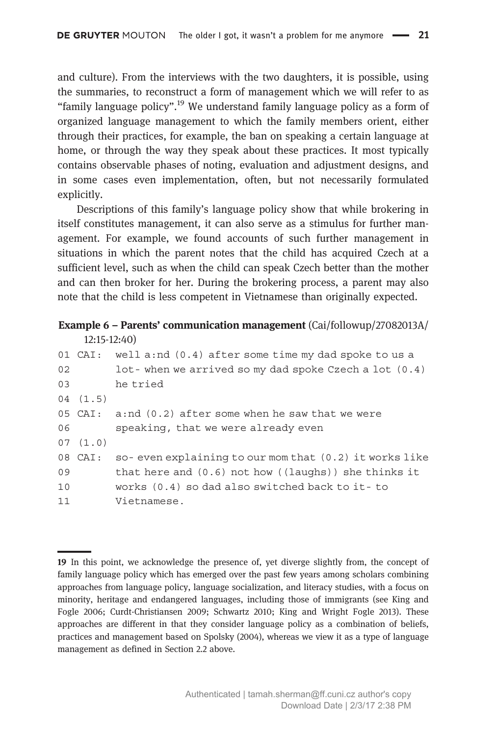and culture). From the interviews with the two daughters, it is possible, using the summaries, to reconstruct a form of management which we will refer to as "family language policy".<sup>19</sup> We understand family language policy as a form of organized language management to which the family members orient, either through their practices, for example, the ban on speaking a certain language at home, or through the way they speak about these practices. It most typically contains observable phases of noting, evaluation and adjustment designs, and in some cases even implementation, often, but not necessarily formulated explicitly.

Descriptions of this family's language policy show that while brokering in itself constitutes management, it can also serve as a stimulus for further management. For example, we found accounts of such further management in situations in which the parent notes that the child has acquired Czech at a sufficient level, such as when the child can speak Czech better than the mother and can then broker for her. During the brokering process, a parent may also note that the child is less competent in Vietnamese than originally expected.

#### Example 6 – Parents' communication management (Cai/followup/27082013A/ 12:15-12:40)

|    |         | 01 CAI: well a:nd $(0.4)$ after some time my dad spoke to us a |
|----|---------|----------------------------------------------------------------|
| 02 |         | lot-when we arrived so my dad spoke Czech a lot (0.4)          |
| 03 |         | he tried                                                       |
|    | 04(1.5) |                                                                |
|    |         | 05 CAI: $a:nd(0.2)$ after some when he saw that we were        |
| 06 |         | speaking, that we were already even                            |
|    | 07(1.0) |                                                                |
|    | 08 CAI: | so-even explaining to our mom that $(0.2)$ it works like       |
| 09 |         | that here and $(0.6)$ not how $($ laughs $)$ she thinks it     |
| 10 |         | works $(0.4)$ so dad also switched back to it-to               |
| 11 |         | Vietnamese.                                                    |
|    |         |                                                                |

<sup>19</sup> In this point, we acknowledge the presence of, yet diverge slightly from, the concept of family language policy which has emerged over the past few years among scholars combining approaches from language policy, language socialization, and literacy studies, with a focus on minority, heritage and endangered languages, including those of immigrants (see King and Fogle 2006; Curdt-Christiansen 2009; Schwartz 2010; King and Wright Fogle 2013). These approaches are different in that they consider language policy as a combination of beliefs, practices and management based on Spolsky (2004), whereas we view it as a type of language management as defined in Section 2.2 above.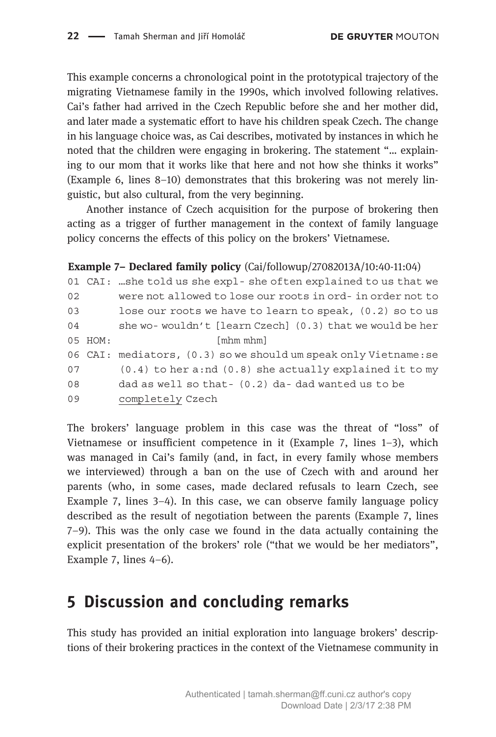This example concerns a chronological point in the prototypical trajectory of the migrating Vietnamese family in the 1990s, which involved following relatives. Cai's father had arrived in the Czech Republic before she and her mother did, and later made a systematic effort to have his children speak Czech. The change in his language choice was, as Cai describes, motivated by instances in which he noted that the children were engaging in brokering. The statement "… explaining to our mom that it works like that here and not how she thinks it works" (Example 6, lines 8–10) demonstrates that this brokering was not merely linguistic, but also cultural, from the very beginning.

Another instance of Czech acquisition for the purpose of brokering then acting as a trigger of further management in the context of family language policy concerns the effects of this policy on the brokers' Vietnamese.

#### Example 7– Declared family policy (Cai/followup/27082013A/10:40-11:04)

```
01 CAI: …she told us she expl- she often explained to us that we
02 were not allowed to lose our roots in ord- in order not to
03 lose our roots we have to learn to speak, (0.2) so to us
04 she wo- wouldn't [learn Czech] (0.3) that we would be her
05 HOM: [mhm mhm]
06 CAI: mediators, (0.3) so we should um speak only Vietname:se
07 (0.4) to her a:nd (0.8) she actually explained it to my
08 dad as well so that- (0.2) da- dad wanted us to be
09 completely Czech
```
The brokers' language problem in this case was the threat of "loss" of Vietnamese or insufficient competence in it (Example 7, lines 1–3), which was managed in Cai's family (and, in fact, in every family whose members we interviewed) through a ban on the use of Czech with and around her parents (who, in some cases, made declared refusals to learn Czech, see Example 7, lines 3–4). In this case, we can observe family language policy described as the result of negotiation between the parents (Example 7, lines 7–9). This was the only case we found in the data actually containing the explicit presentation of the brokers' role ("that we would be her mediators", Example 7, lines 4–6).

# 5 Discussion and concluding remarks

This study has provided an initial exploration into language brokers' descriptions of their brokering practices in the context of the Vietnamese community in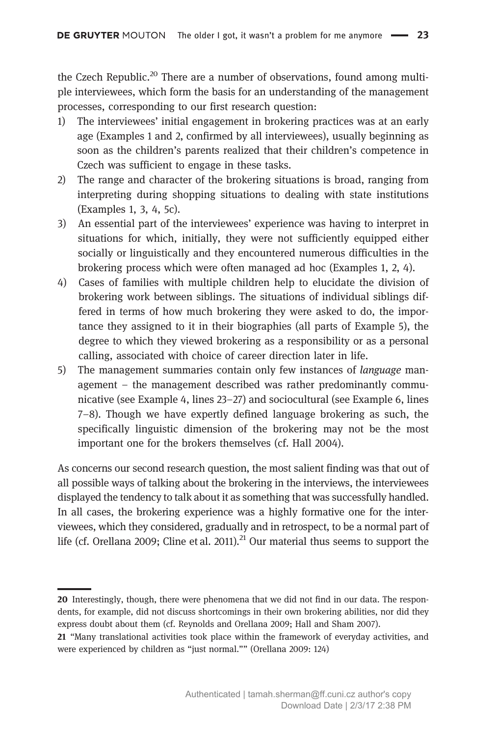the Czech Republic.<sup>20</sup> There are a number of observations, found among multiple interviewees, which form the basis for an understanding of the management processes, corresponding to our first research question:

- 1) The interviewees' initial engagement in brokering practices was at an early age (Examples 1 and 2, confirmed by all interviewees), usually beginning as soon as the children's parents realized that their children's competence in Czech was sufficient to engage in these tasks.
- 2) The range and character of the brokering situations is broad, ranging from interpreting during shopping situations to dealing with state institutions (Examples 1, 3, 4, 5c).
- 3) An essential part of the interviewees' experience was having to interpret in situations for which, initially, they were not sufficiently equipped either socially or linguistically and they encountered numerous difficulties in the brokering process which were often managed ad hoc (Examples 1, 2, 4).
- 4) Cases of families with multiple children help to elucidate the division of brokering work between siblings. The situations of individual siblings differed in terms of how much brokering they were asked to do, the importance they assigned to it in their biographies (all parts of Example 5), the degree to which they viewed brokering as a responsibility or as a personal calling, associated with choice of career direction later in life.
- 5) The management summaries contain only few instances of language management – the management described was rather predominantly communicative (see Example 4, lines 23–27) and sociocultural (see Example 6, lines 7–8). Though we have expertly defined language brokering as such, the specifically linguistic dimension of the brokering may not be the most important one for the brokers themselves (cf. Hall 2004).

As concerns our second research question, the most salient finding was that out of all possible ways of talking about the brokering in the interviews, the interviewees displayed the tendency to talk about it as something that was successfully handled. In all cases, the brokering experience was a highly formative one for the interviewees, which they considered, gradually and in retrospect, to be a normal part of life (cf. Orellana 2009; Cline et al. 2011).<sup>21</sup> Our material thus seems to support the

<sup>20</sup> Interestingly, though, there were phenomena that we did not find in our data. The respondents, for example, did not discuss shortcomings in their own brokering abilities, nor did they express doubt about them (cf. Reynolds and Orellana 2009; Hall and Sham 2007).

<sup>21</sup> "Many translational activities took place within the framework of everyday activities, and were experienced by children as "just normal."" (Orellana 2009: 124)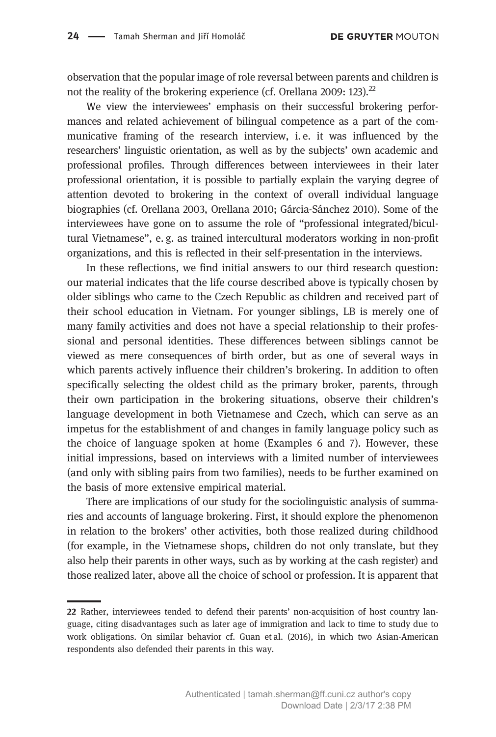observation that the popular image of role reversal between parents and children is not the reality of the brokering experience (cf. Orellana 2009: 123).<sup>22</sup>

We view the interviewees' emphasis on their successful brokering performances and related achievement of bilingual competence as a part of the communicative framing of the research interview, i. e. it was influenced by the researchers' linguistic orientation, as well as by the subjects' own academic and professional profiles. Through differences between interviewees in their later professional orientation, it is possible to partially explain the varying degree of attention devoted to brokering in the context of overall individual language biographies (cf. Orellana 2003, Orellana 2010; Gárcia-Sánchez 2010). Some of the interviewees have gone on to assume the role of "professional integrated/bicultural Vietnamese", e. g. as trained intercultural moderators working in non-profit organizations, and this is reflected in their self-presentation in the interviews.

In these reflections, we find initial answers to our third research question: our material indicates that the life course described above is typically chosen by older siblings who came to the Czech Republic as children and received part of their school education in Vietnam. For younger siblings, LB is merely one of many family activities and does not have a special relationship to their professional and personal identities. These differences between siblings cannot be viewed as mere consequences of birth order, but as one of several ways in which parents actively influence their children's brokering. In addition to often specifically selecting the oldest child as the primary broker, parents, through their own participation in the brokering situations, observe their children's language development in both Vietnamese and Czech, which can serve as an impetus for the establishment of and changes in family language policy such as the choice of language spoken at home (Examples 6 and 7). However, these initial impressions, based on interviews with a limited number of interviewees (and only with sibling pairs from two families), needs to be further examined on the basis of more extensive empirical material.

There are implications of our study for the sociolinguistic analysis of summaries and accounts of language brokering. First, it should explore the phenomenon in relation to the brokers' other activities, both those realized during childhood (for example, in the Vietnamese shops, children do not only translate, but they also help their parents in other ways, such as by working at the cash register) and those realized later, above all the choice of school or profession. It is apparent that

<sup>22</sup> Rather, interviewees tended to defend their parents' non-acquisition of host country language, citing disadvantages such as later age of immigration and lack to time to study due to work obligations. On similar behavior cf. Guan et al. (2016), in which two Asian-American respondents also defended their parents in this way.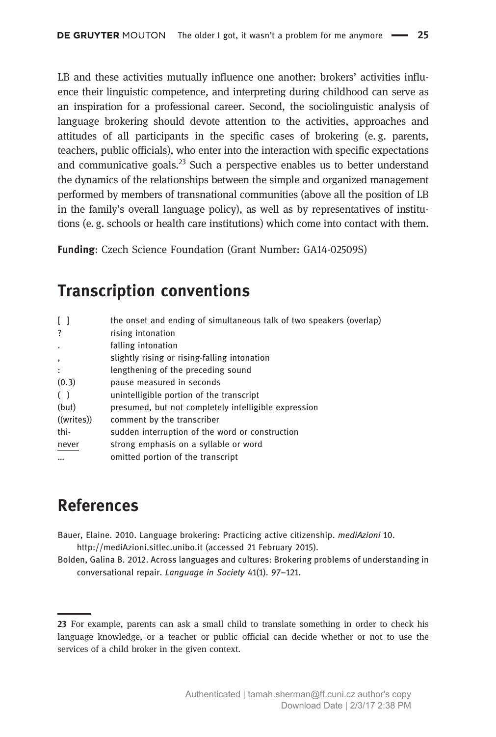LB and these activities mutually influence one another: brokers' activities influence their linguistic competence, and interpreting during childhood can serve as an inspiration for a professional career. Second, the sociolinguistic analysis of language brokering should devote attention to the activities, approaches and attitudes of all participants in the specific cases of brokering (e. g. parents, teachers, public officials), who enter into the interaction with specific expectations and communicative goals.<sup>23</sup> Such a perspective enables us to better understand the dynamics of the relationships between the simple and organized management performed by members of transnational communities (above all the position of LB in the family's overall language policy), as well as by representatives of institutions (e. g. schools or health care institutions) which come into contact with them.

Funding: Czech Science Foundation (Grant Number: GA14-02509S)

# Transcription conventions

| the onset and ending of simultaneous talk of two speakers (overlap) |
|---------------------------------------------------------------------|
| rising intonation                                                   |
| falling intonation                                                  |
| slightly rising or rising-falling intonation                        |
| lengthening of the preceding sound                                  |
| pause measured in seconds                                           |
| unintelligible portion of the transcript                            |
| presumed, but not completely intelligible expression                |
| comment by the transcriber                                          |
| sudden interruption of the word or construction                     |
| strong emphasis on a syllable or word                               |
| omitted portion of the transcript                                   |
|                                                                     |

# References

- Bauer, Elaine. 2010. Language brokering: Practicing active citizenship. mediAzioni 10. http://mediAzioni.sitlec.unibo.it (accessed 21 February 2015).
- Bolden, Galina B. 2012. Across languages and cultures: Brokering problems of understanding in conversational repair. Language in Society 41(1). 97–121.

<sup>23</sup> For example, parents can ask a small child to translate something in order to check his language knowledge, or a teacher or public official can decide whether or not to use the services of a child broker in the given context.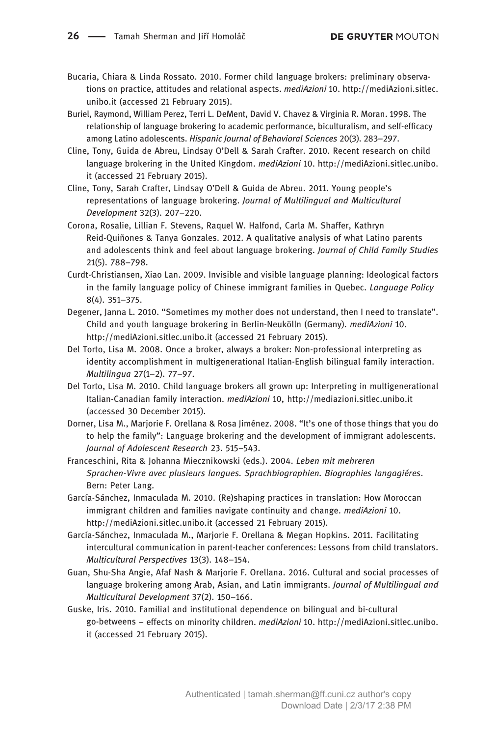- Bucaria, Chiara & Linda Rossato. 2010. Former child language brokers: preliminary observations on practice, attitudes and relational aspects. mediAzioni 10. http://mediAzioni.sitlec. unibo.it (accessed 21 February 2015).
- Buriel, Raymond, William Perez, Terri L. DeMent, David V. Chavez & Virginia R. Moran. 1998. The relationship of language brokering to academic performance, biculturalism, and self-efficacy among Latino adolescents. Hispanic Journal of Behavioral Sciences 20(3). 283–297.
- Cline, Tony, Guida de Abreu, Lindsay O'Dell & Sarah Crafter. 2010. Recent research on child language brokering in the United Kingdom. mediAzioni 10. http://mediAzioni.sitlec.unibo. it (accessed 21 February 2015).
- Cline, Tony, Sarah Crafter, Lindsay O'Dell & Guida de Abreu. 2011. Young people's representations of language brokering. Journal of Multilingual and Multicultural Development 32(3). 207–220.
- Corona, Rosalie, Lillian F. Stevens, Raquel W. Halfond, Carla M. Shaffer, Kathryn Reid-Quiñones & Tanya Gonzales. 2012. A qualitative analysis of what Latino parents and adolescents think and feel about language brokering. Journal of Child Family Studies 21(5). 788–798.
- Curdt-Christiansen, Xiao Lan. 2009. Invisible and visible language planning: Ideological factors in the family language policy of Chinese immigrant families in Quebec. Language Policy 8(4). 351–375.
- Degener, Janna L. 2010. "Sometimes my mother does not understand, then I need to translate". Child and youth language brokering in Berlin-Neukölln (Germany). mediAzioni 10. http://mediAzioni.sitlec.unibo.it (accessed 21 February 2015).
- Del Torto, Lisa M. 2008. Once a broker, always a broker: Non-professional interpreting as identity accomplishment in multigenerational Italian-English bilingual family interaction. Multilingua 27(1–2). 77–97.
- Del Torto, Lisa M. 2010. Child language brokers all grown up: Interpreting in multigenerational Italian-Canadian family interaction. mediAzioni 10, http://mediazioni.sitlec.unibo.it (accessed 30 December 2015).
- Dorner, Lisa M., Marjorie F. Orellana & Rosa Jiménez. 2008. "It's one of those things that you do to help the family": Language brokering and the development of immigrant adolescents. Journal of Adolescent Research 23. 515–543.
- Franceschini, Rita & Johanna Miecznikowski (eds.). 2004. Leben mit mehreren Sprachen-Vivre avec plusieurs langues. Sprachbiographien. Biographies langagiéres. Bern: Peter Lang.
- García-Sánchez, Inmaculada M. 2010. (Re)shaping practices in translation: How Moroccan immigrant children and families navigate continuity and change. *mediAzioni* 10. http://mediAzioni.sitlec.unibo.it (accessed 21 February 2015).
- García-Sánchez, Inmaculada M., Marjorie F. Orellana & Megan Hopkins. 2011. Facilitating intercultural communication in parent-teacher conferences: Lessons from child translators. Multicultural Perspectives 13(3). 148–154.
- Guan, Shu-Sha Angie, Afaf Nash & Marjorie F. Orellana. 2016. Cultural and social processes of language brokering among Arab, Asian, and Latin immigrants. Journal of Multilingual and Multicultural Development 37(2). 150–166.
- Guske, Iris. 2010. Familial and institutional dependence on bilingual and bi-cultural go-betweens – effects on minority children. mediAzioni 10. http://mediAzioni.sitlec.unibo. it (accessed 21 February 2015).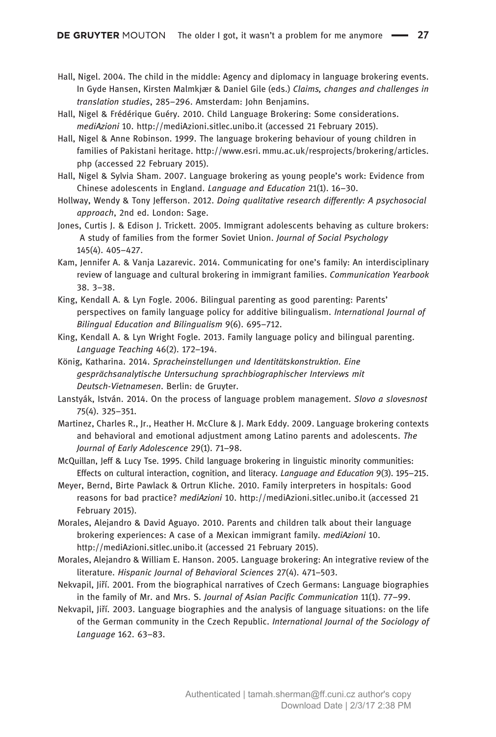- Hall, Nigel. 2004. The child in the middle: Agency and diplomacy in language brokering events. In Gyde Hansen, Kirsten Malmkjær & Daniel Gile (eds.) Claims, changes and challenges in translation studies, 285–296. Amsterdam: John Benjamins.
- Hall, Nigel & Frédérique Guéry. 2010. Child Language Brokering: Some considerations. mediAzioni 10. http://mediAzioni.sitlec.unibo.it (accessed 21 February 2015).
- Hall, Nigel & Anne Robinson. 1999. The language brokering behaviour of young children in families of Pakistani heritage. http://www.esri. mmu.ac.uk/resprojects/brokering/articles. php (accessed 22 February 2015).
- Hall, Nigel & Sylvia Sham. 2007. Language brokering as young people's work: Evidence from Chinese adolescents in England. Language and Education 21(1). 16–30.
- Hollway, Wendy & Tony Jefferson. 2012. Doing qualitative research differently: A psychosocial approach, 2nd ed. London: Sage.
- Jones, Curtis J. & Edison J. Trickett. 2005. Immigrant adolescents behaving as culture brokers: A study of families from the former Soviet Union. Journal of Social Psychology 145(4). 405–427.
- Kam, Jennifer A. & Vanja Lazarevic. 2014. Communicating for one's family: An interdisciplinary review of language and cultural brokering in immigrant families. Communication Yearbook 38. 3–38.
- King, Kendall A. & Lyn Fogle. 2006. Bilingual parenting as good parenting: Parents' perspectives on family language policy for additive bilingualism. International Journal of Bilingual Education and Bilingualism 9(6). 695–712.
- King, Kendall A. & Lyn Wright Fogle. 2013. Family language policy and bilingual parenting. Language Teaching 46(2). 172–194.
- König, Katharina. 2014. Spracheinstellungen und Identitätskonstruktion. Eine gesprächsanalytische Untersuchung sprachbiographischer Interviews mit Deutsch-Vietnamesen. Berlin: de Gruyter.
- Lanstyák, István. 2014. On the process of language problem management. Slovo a slovesnost 75(4). 325–351.
- Martinez, Charles R., Jr., Heather H. McClure & J. Mark Eddy. 2009. Language brokering contexts and behavioral and emotional adjustment among Latino parents and adolescents. The Journal of Early Adolescence 29(1). 71–98.
- McQuillan, Jeff & Lucy Tse. 1995. Child language brokering in linguistic minority communities: Effects on cultural interaction, cognition, and literacy. Language and Education 9(3). 195–215.
- Meyer, Bernd, Birte Pawlack & Ortrun Kliche. 2010. Family interpreters in hospitals: Good reasons for bad practice? mediAzioni 10. http://mediAzioni.sitlec.unibo.it (accessed 21 February 2015).
- Morales, Alejandro & David Aguayo. 2010. Parents and children talk about their language brokering experiences: A case of a Mexican immigrant family. mediAzioni 10. http://mediAzioni.sitlec.unibo.it (accessed 21 February 2015).
- Morales, Alejandro & William E. Hanson. 2005. Language brokering: An integrative review of the literature. Hispanic Journal of Behavioral Sciences 27(4). 471–503.
- Nekvapil, Jiří. 2001. From the biographical narratives of Czech Germans: Language biographies in the family of Mr. and Mrs. S. Journal of Asian Pacific Communication 11(1). 77–99.
- Nekvapil, Jiří. 2003. Language biographies and the analysis of language situations: on the life of the German community in the Czech Republic. International Journal of the Sociology of Language 162. 63–83.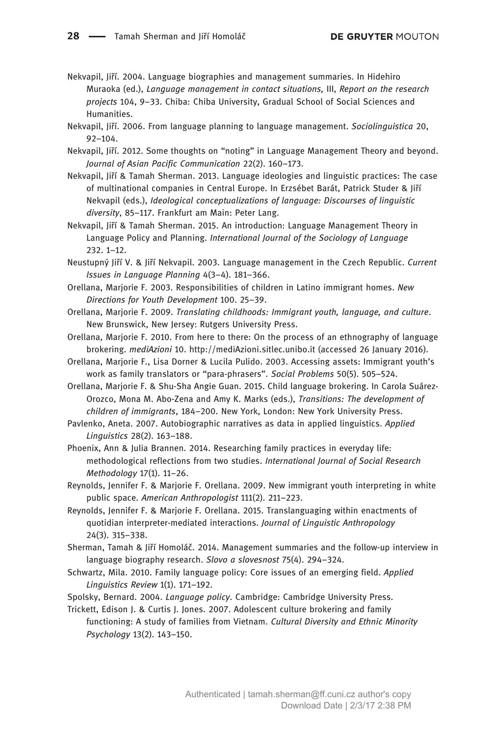- Nekvapil, Jiří. 2004. Language biographies and management summaries. In Hidehiro Muraoka (ed.), Language management in contact situations, III, Report on the research projects 104, 9–33. Chiba: Chiba University, Gradual School of Social Sciences and Humanities.
- Nekvapil, Jiří. 2006. From language planning to language management. Sociolinguistica 20, 92–104.
- Nekvapil, Jiří. 2012. Some thoughts on "noting" in Language Management Theory and beyond. Journal of Asian Pacific Communication 22(2). 160–173.
- Nekvapil, Jiří & Tamah Sherman. 2013. Language ideologies and linguistic practices: The case of multinational companies in Central Europe. In Erzsébet Barát, Patrick Studer & Jiří Nekvapil (eds.), Ideological conceptualizations of language: Discourses of linguistic diversity, 85–117. Frankfurt am Main: Peter Lang.
- Nekvapil, Jiří & Tamah Sherman. 2015. An introduction: Language Management Theory in Language Policy and Planning. International Journal of the Sociology of Language 232. 1–12.
- Neustupný Jiří V. & Jiří Nekvapil. 2003. Language management in the Czech Republic. Current Issues in Language Planning 4(3–4). 181–366.
- Orellana, Marjorie F. 2003. Responsibilities of children in Latino immigrant homes. New Directions for Youth Development 100. 25–39.
- Orellana, Marjorie F. 2009. Translating childhoods: Immigrant youth, language, and culture. New Brunswick, New Jersey: Rutgers University Press.
- Orellana, Marjorie F. 2010. From here to there: On the process of an ethnography of language brokering. mediAzioni 10. http://mediAzioni.sitlec.unibo.it (accessed 26 January 2016).
- Orellana, Marjorie F., Lisa Dorner & Lucila Pulido. 2003. Accessing assets: Immigrant youth's work as family translators or "para-phrasers". Social Problems 50(5). 505–524.
- Orellana, Marjorie F. & Shu-Sha Angie Guan. 2015. Child language brokering. In Carola Suárez-Orozco, Mona M. Abo-Zena and Amy K. Marks (eds.), Transitions: The development of children of immigrants, 184–200. New York, London: New York University Press.
- Pavlenko, Aneta. 2007. Autobiographic narratives as data in applied linguistics. Applied Linguistics 28(2). 163–188.
- Phoenix, Ann & Julia Brannen. 2014. Researching family practices in everyday life: methodological reflections from two studies. International Journal of Social Research Methodology 17(1). 11–26.
- Reynolds, Jennifer F. & Marjorie F. Orellana. 2009. New immigrant youth interpreting in white public space. American Anthropologist 111(2). 211–223.
- Reynolds, Jennifer F. & Marjorie F. Orellana. 2015. Translanguaging within enactments of quotidian interpreter-mediated interactions. Journal of Linguistic Anthropology 24(3). 315–338.
- Sherman, Tamah & Jiří Homoláč. 2014. Management summaries and the follow-up interview in language biography research. Slovo a slovesnost 75(4). 294–324.
- Schwartz, Mila. 2010. Family language policy: Core issues of an emerging field. Applied Linguistics Review 1(1). 171–192.
- Spolsky, Bernard. 2004. Language policy. Cambridge: Cambridge University Press.
- Trickett, Edison J. & Curtis J. Jones. 2007. Adolescent culture brokering and family functioning: A study of families from Vietnam. Cultural Diversity and Ethnic Minority Psychology 13(2). 143–150.